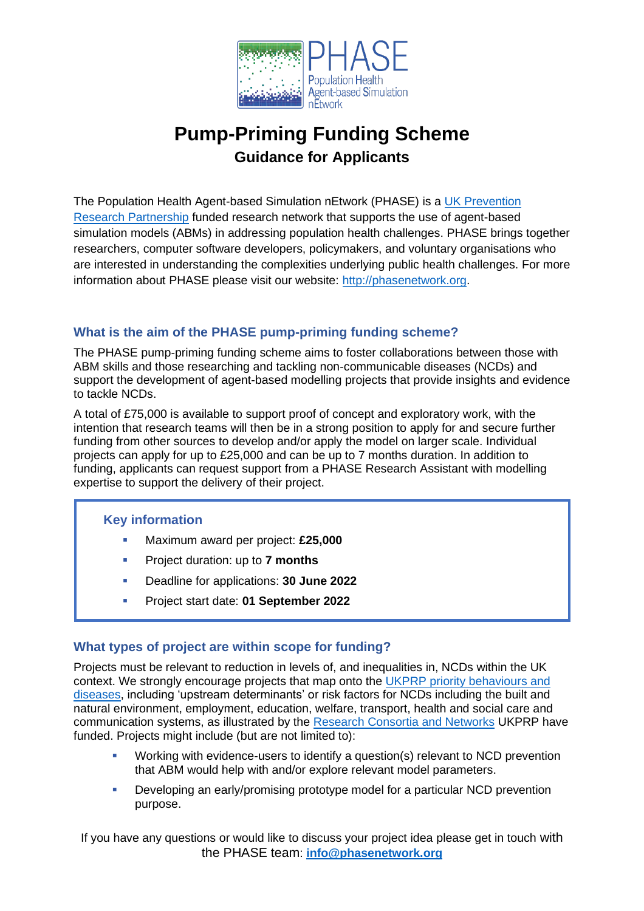

# **Pump-Priming Funding Scheme Guidance for Applicants**

The Population Health Agent-based Simulation nEtwork (PHASE) is a UK Prevention [Research Partnership](https://ukprp.org/) funded research network that supports the use of agent-based simulation models (ABMs) in addressing population health challenges. PHASE brings together researchers, computer software developers, policymakers, and voluntary organisations who are interested in understanding the complexities underlying public health challenges. For more information about PHASE please visit our website: [http://phasenetwork.org.](http://phasenetwork.org/)

# **What is the aim of the PHASE pump-priming funding scheme?**

The PHASE pump-priming funding scheme aims to foster collaborations between those with ABM skills and those researching and tackling non-communicable diseases (NCDs) and support the development of agent-based modelling projects that provide insights and evidence to tackle NCDs.

A total of £75,000 is available to support proof of concept and exploratory work, with the intention that research teams will then be in a strong position to apply for and secure further funding from other sources to develop and/or apply the model on larger scale. Individual projects can apply for up to £25,000 and can be up to 7 months duration. In addition to funding, applicants can request support from a PHASE Research Assistant with modelling expertise to support the delivery of their project.

# **Key information**

- Maximum award per project: £25,000
- Project duration: up to **7 months**
- Deadline for applications: **30 June 2022**
- Project start date: **01 September 2022**

# **What types of project are within scope for funding?**

Projects must be relevant to reduction in levels of, and inequalities in, NCDs within the UK context. We strongly encourage projects that map onto the [UKPRP priority behaviours and](https://ukprp.org/about-us/)  [diseases,](https://ukprp.org/about-us/) including 'upstream determinants' or risk factors for NCDs including the built and natural environment, employment, education, welfare, transport, health and social care and communication systems, as illustrated by the [Research Consortia and Networks](https://ukprp.org/what-we-fund/) UKPRP have funded. Projects might include (but are not limited to):

- Working with evidence-users to identify a question(s) relevant to NCD prevention that ABM would help with and/or explore relevant model parameters.
- Developing an early/promising prototype model for a particular NCD prevention purpose.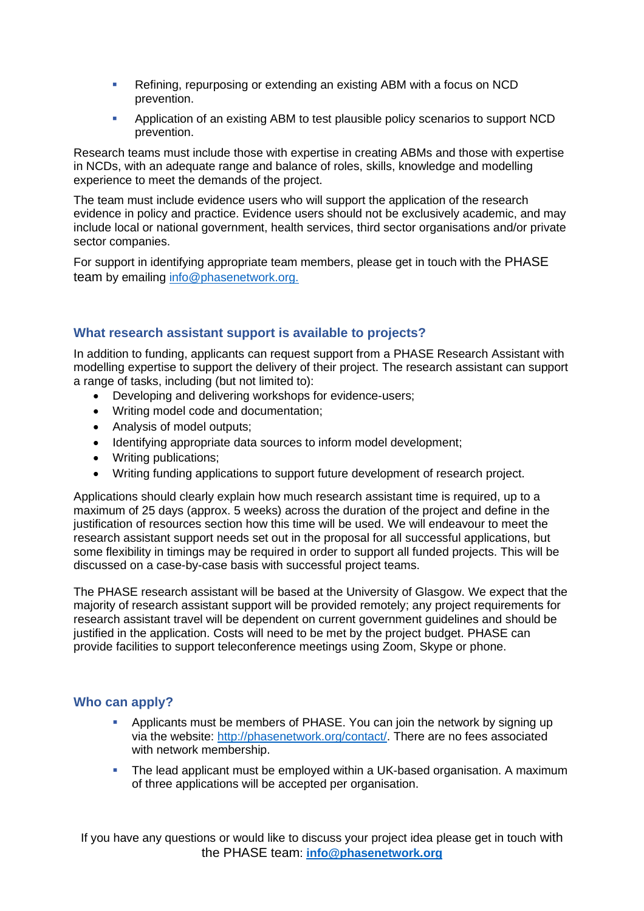- Refining, repurposing or extending an existing ABM with a focus on NCD prevention.
- Application of an existing ABM to test plausible policy scenarios to support NCD prevention.

Research teams must include those with expertise in creating ABMs and those with expertise in NCDs, with an adequate range and balance of roles, skills, knowledge and modelling experience to meet the demands of the project.

The team must include evidence users who will support the application of the research evidence in policy and practice. Evidence users should not be exclusively academic, and may include local or national government, health services, third sector organisations and/or private sector companies.

For support in identifying appropriate team members, please get in touch with the PHASE team by emailing [info@phasenetwork.](mailto:info@phasenetwork)org.

## **What research assistant support is available to projects?**

In addition to funding, applicants can request support from a PHASE Research Assistant with modelling expertise to support the delivery of their project. The research assistant can support a range of tasks, including (but not limited to):

- Developing and delivering workshops for evidence-users;
- Writing model code and documentation;
- Analysis of model outputs;
- Identifying appropriate data sources to inform model development;
- Writing publications:
- Writing funding applications to support future development of research project.

Applications should clearly explain how much research assistant time is required, up to a maximum of 25 days (approx. 5 weeks) across the duration of the project and define in the justification of resources section how this time will be used. We will endeavour to meet the research assistant support needs set out in the proposal for all successful applications, but some flexibility in timings may be required in order to support all funded projects. This will be discussed on a case-by-case basis with successful project teams.

The PHASE research assistant will be based at the University of Glasgow. We expect that the majority of research assistant support will be provided remotely; any project requirements for research assistant travel will be dependent on current government guidelines and should be justified in the application. Costs will need to be met by the project budget. PHASE can provide facilities to support teleconference meetings using Zoom, Skype or phone.

## **Who can apply?**

- Applicants must be members of PHASE. You can join the network by signing up via the website: [http://phasenetwork.org/contact/.](http://phasenetwork.org/contact/) There are no fees associated with network membership.
- **•** The lead applicant must be employed within a UK-based organisation. A maximum of three applications will be accepted per organisation.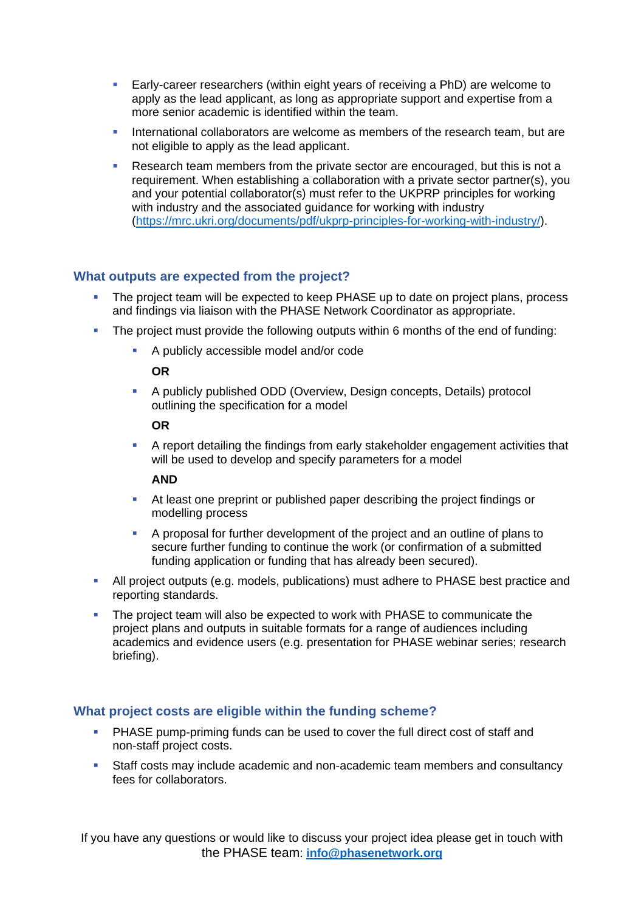- **Early-career researchers (within eight years of receiving a PhD) are welcome to** apply as the lead applicant, as long as appropriate support and expertise from a more senior academic is identified within the team.
- International collaborators are welcome as members of the research team, but are not eligible to apply as the lead applicant.
- Research team members from the private sector are encouraged, but this is not a requirement. When establishing a collaboration with a private sector partner(s), you and your potential collaborator(s) must refer to the UKPRP principles for working with industry and the associated guidance for working with industry [\(https://mrc.ukri.org/documents/pdf/ukprp-principles-for-working-with-industry/\)](https://mrc.ukri.org/documents/pdf/ukprp-principles-for-working-with-industry/).

## **What outputs are expected from the project?**

- The project team will be expected to keep PHASE up to date on project plans, process and findings via liaison with the PHASE Network Coordinator as appropriate.
- The project must provide the following outputs within 6 months of the end of funding:
	- A publicly accessible model and/or code

## **OR**

▪ A publicly published ODD (Overview, Design concepts, Details) protocol outlining the specification for a model

#### **OR**

▪ A report detailing the findings from early stakeholder engagement activities that will be used to develop and specify parameters for a model

#### **AND**

- At least one preprint or published paper describing the project findings or modelling process
- A proposal for further development of the project and an outline of plans to secure further funding to continue the work (or confirmation of a submitted funding application or funding that has already been secured).
- **EXTERN** All project outputs (e.g. models, publications) must adhere to PHASE best practice and reporting standards.
- **•** The project team will also be expected to work with PHASE to communicate the project plans and outputs in suitable formats for a range of audiences including academics and evidence users (e.g. presentation for PHASE webinar series; research briefing).

## **What project costs are eligible within the funding scheme?**

- PHASE pump-priming funds can be used to cover the full direct cost of staff and non-staff project costs.
- **E** Staff costs may include academic and non-academic team members and consultancy fees for collaborators.